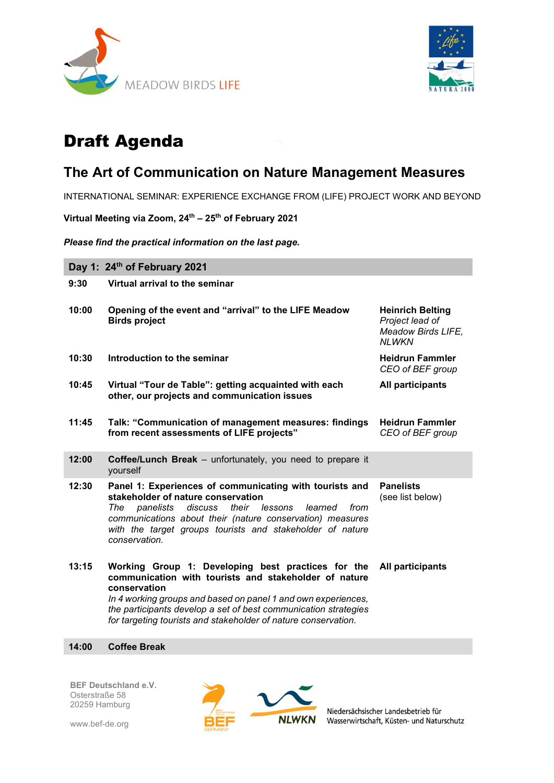



# Draft Agenda

## The Art of Communication on Nature Management Measures

INTERNATIONAL SEMINAR: EXPERIENCE EXCHANGE FROM (LIFE) PROJECT WORK AND BEYOND

Virtual Meeting via Zoom, 24<sup>th</sup> - 25<sup>th</sup> of February 2021

Please find the practical information on the last page.

Day 1: 24<sup>th</sup> of February 2021 9:30 Virtual arrival to the seminar 10:00 Opening of the event and "arrival" to the LIFE Meadow Birds project Heinrich Belting Project lead of Meadow Birds LIFE, **NLWKN** 10:30 Introduction to the seminar American Medicine Heidrun Fammler CEO of BEF group 10:45 Virtual "Tour de Table": getting acquainted with each other, our projects and communication issues All participants 11:45 Talk: "Communication of management measures: findings from recent assessments of LIFE projects" Heidrun Fammler CEO of BEF group 12:00 Coffee/Lunch Break – unfortunately, you need to prepare it yourself 12:30 Panel 1: Experiences of communicating with tourists and stakeholder of nature conservation The panelists discuss their lessons learned from communications about their (nature conservation) measures with the target groups tourists and stakeholder of nature conservation. Panelists (see list below) 13:15 Working Group 1: Developing best practices for the communication with tourists and stakeholder of nature conservation In 4 working groups and based on panel 1 and own experiences, the participants develop a set of best communication strategies for targeting tourists and stakeholder of nature conservation. All participants

#### 14:00 Coffee Break

BEF Deutschland e.V. Osterstraße 58 20259 Hamburg





Niedersächsischer Landesbetrieb für Wasserwirtschaft, Küsten- und Naturschutz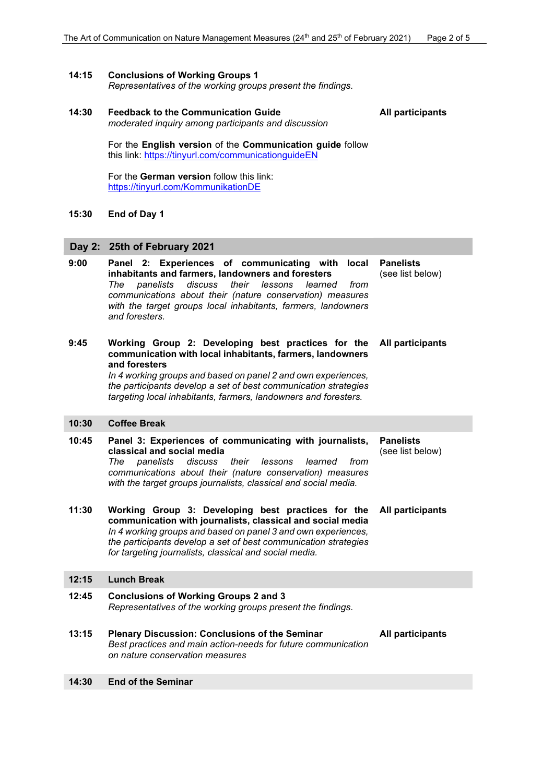All participants

#### 14:15 Conclusions of Working Groups 1

Representatives of the working groups present the findings.

#### 14:30 Feedback to the Communication Guide

moderated inquiry among participants and discussion

For the English version of the Communication guide follow this link: https://tinyurl.com/communicationguideEN

For the German version follow this link: https://tinyurl.com/KommunikationDE

#### 15:30 End of Day 1

#### Day 2: 25th of February 2021

| 9:00  | Panel 2: Experiences of communicating with local<br>inhabitants and farmers, landowners and foresters<br>discuss<br>their<br>The<br>panelists<br>lessons<br>learned<br>from<br>communications about their (nature conservation) measures<br>with the target groups local inhabitants, farmers, landowners<br>and foresters.             | <b>Panelists</b><br>(see list below) |
|-------|-----------------------------------------------------------------------------------------------------------------------------------------------------------------------------------------------------------------------------------------------------------------------------------------------------------------------------------------|--------------------------------------|
| 9:45  | Working Group 2: Developing best practices for the<br>communication with local inhabitants, farmers, landowners<br>and foresters<br>In 4 working groups and based on panel 2 and own experiences,<br>the participants develop a set of best communication strategies<br>targeting local inhabitants, farmers, landowners and foresters. | All participants                     |
| 10:30 | <b>Coffee Break</b>                                                                                                                                                                                                                                                                                                                     |                                      |
| 10:45 | Panel 3: Experiences of communicating with journalists,<br>classical and social media<br>The<br>panelists<br>discuss<br>their<br>lessons<br>learned<br>from<br>communications about their (nature conservation) measures<br>with the target groups journalists, classical and social media.                                             | <b>Panelists</b><br>(see list below) |
| 11:30 | Working Group 3: Developing best practices for the<br>communication with journalists, classical and social media<br>In 4 working groups and based on panel 3 and own experiences,<br>the participants develop a set of best communication strategies<br>for targeting journalists, classical and social media.                          | <b>All participants</b>              |
| 12:15 | <b>Lunch Break</b>                                                                                                                                                                                                                                                                                                                      |                                      |
| 12:45 | <b>Conclusions of Working Groups 2 and 3</b><br>Representatives of the working groups present the findings.                                                                                                                                                                                                                             |                                      |
| 13:15 | <b>Plenary Discussion: Conclusions of the Seminar</b><br>Best practices and main action-needs for future communication<br>on nature conservation measures                                                                                                                                                                               | All participants                     |
| 14:30 | <b>End of the Seminar</b>                                                                                                                                                                                                                                                                                                               |                                      |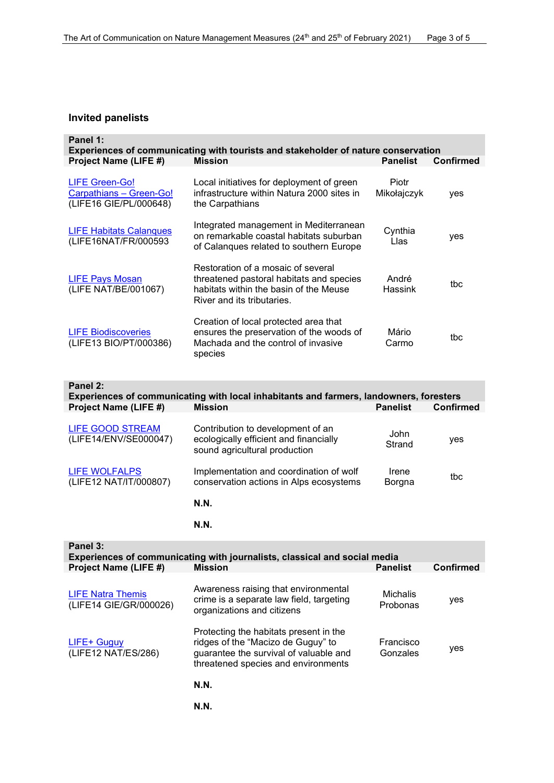#### Invited panelists

| Panel 1:<br>Experiences of communicating with tourists and stakeholder of nature conservation |                                                                                                                                                        |                      |                  |  |  |  |  |
|-----------------------------------------------------------------------------------------------|--------------------------------------------------------------------------------------------------------------------------------------------------------|----------------------|------------------|--|--|--|--|
| Project Name (LIFE #)                                                                         | <b>Mission</b>                                                                                                                                         | <b>Panelist</b>      | <b>Confirmed</b> |  |  |  |  |
| <b>LIFE Green-Go!</b><br>Carpathians - Green-Go!<br>(LIFE16 GIE/PL/000648)                    | Local initiatives for deployment of green<br>infrastructure within Natura 2000 sites in<br>the Carpathians                                             | Piotr<br>Mikołajczyk | yes              |  |  |  |  |
| <b>LIFE Habitats Calanques</b><br>(LIFE16NAT/FR/000593                                        | Integrated management in Mediterranean<br>on remarkable coastal habitats suburban<br>of Calanques related to southern Europe                           | Cynthia<br>Llas      | yes              |  |  |  |  |
| <b>LIFE Pays Mosan</b><br>(LIFE NAT/BE/001067)                                                | Restoration of a mosaic of several<br>threatened pastoral habitats and species<br>habitats within the basin of the Meuse<br>River and its tributaries. | André<br>Hassink     | tbc              |  |  |  |  |
| <b>LIFE Biodiscoveries</b><br>(LIFE13 BIO/PT/000386)                                          | Creation of local protected area that<br>ensures the preservation of the woods of<br>Machada and the control of invasive<br>species                    | Mário<br>Carmo       | tbc              |  |  |  |  |
| Panel 2:                                                                                      |                                                                                                                                                        |                      |                  |  |  |  |  |

| Experiences of communicating with local inhabitants and farmers, landowners, foresters |                                                                                                              |                 |                  |  |  |  |  |
|----------------------------------------------------------------------------------------|--------------------------------------------------------------------------------------------------------------|-----------------|------------------|--|--|--|--|
| Project Name (LIFE #)                                                                  | <b>Mission</b>                                                                                               | <b>Panelist</b> | <b>Confirmed</b> |  |  |  |  |
| <b>LIFE GOOD STREAM</b><br>(LIFE14/ENV/SE000047)                                       | Contribution to development of an<br>ecologically efficient and financially<br>sound agricultural production | John<br>Strand  | yes              |  |  |  |  |
| <b>LIFE WOLFALPS</b><br>(LIFE12 NAT/IT/000807)                                         | Implementation and coordination of wolf<br>conservation actions in Alps ecosystems                           | Irene<br>Borgna | tbc              |  |  |  |  |
|                                                                                        | <b>N.N.</b>                                                                                                  |                 |                  |  |  |  |  |

N.N.

| Panel 3:<br>Experiences of communicating with journalists, classical and social media |                                                                                                                                                               |                       |                  |  |  |  |  |
|---------------------------------------------------------------------------------------|---------------------------------------------------------------------------------------------------------------------------------------------------------------|-----------------------|------------------|--|--|--|--|
| Project Name (LIFE #)                                                                 | <b>Mission</b>                                                                                                                                                | <b>Panelist</b>       | <b>Confirmed</b> |  |  |  |  |
| <b>LIFE Natra Themis</b><br>(LIFE14 GIE/GR/000026)                                    | Awareness raising that environmental<br>crime is a separate law field, targeting<br>organizations and citizens                                                | Michalis<br>Probonas  | yes              |  |  |  |  |
| LIFE+ Guguy<br>(LIFE12 NAT/ES/286)                                                    | Protecting the habitats present in the<br>ridges of the "Macizo de Guguy" to<br>guarantee the survival of valuable and<br>threatened species and environments | Francisco<br>Gonzales | yes              |  |  |  |  |
|                                                                                       | <b>N.N.</b>                                                                                                                                                   |                       |                  |  |  |  |  |
|                                                                                       | <b>N.N.</b>                                                                                                                                                   |                       |                  |  |  |  |  |